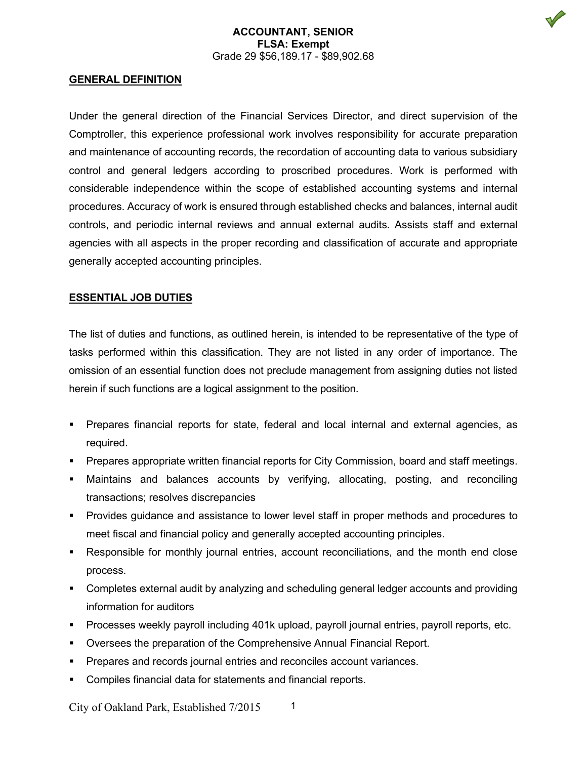## **ACCOUNTANT, SENIOR FLSA: Exempt** Grade 29 \$56,189.17 - \$89,902.68

#### **GENERAL DEFINITION**

Under the general direction of the Financial Services Director, and direct supervision of the Comptroller, this experience professional work involves responsibility for accurate preparation and maintenance of accounting records, the recordation of accounting data to various subsidiary control and general ledgers according to proscribed procedures. Work is performed with considerable independence within the scope of established accounting systems and internal procedures. Accuracy of work is ensured through established checks and balances, internal audit controls, and periodic internal reviews and annual external audits. Assists staff and external agencies with all aspects in the proper recording and classification of accurate and appropriate generally accepted accounting principles.

## **ESSENTIAL JOB DUTIES**

The list of duties and functions, as outlined herein, is intended to be representative of the type of tasks performed within this classification. They are not listed in any order of importance. The omission of an essential function does not preclude management from assigning duties not listed herein if such functions are a logical assignment to the position.

- Prepares financial reports for state, federal and local internal and external agencies, as required.
- Prepares appropriate written financial reports for City Commission, board and staff meetings.
- Maintains and balances accounts by verifying, allocating, posting, and reconciling transactions; resolves discrepancies
- Provides guidance and assistance to lower level staff in proper methods and procedures to meet fiscal and financial policy and generally accepted accounting principles.
- Responsible for monthly journal entries, account reconciliations, and the month end close process.
- Completes external audit by analyzing and scheduling general ledger accounts and providing information for auditors
- Processes weekly payroll including 401k upload, payroll journal entries, payroll reports, etc.
- Oversees the preparation of the Comprehensive Annual Financial Report.
- Prepares and records journal entries and reconciles account variances.
- Compiles financial data for statements and financial reports.

City of Oakland Park, Established 7/2015 1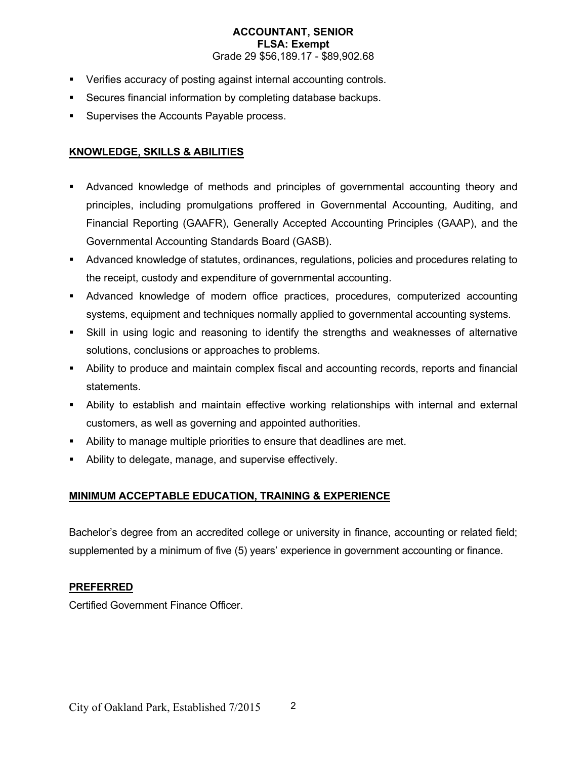## **ACCOUNTANT, SENIOR FLSA: Exempt** Grade 29 \$56,189.17 - \$89,902.68

- Verifies accuracy of posting against internal accounting controls.
- Secures financial information by completing database backups.
- Supervises the Accounts Payable process.

# **KNOWLEDGE, SKILLS & ABILITIES**

- Advanced knowledge of methods and principles of governmental accounting theory and principles, including promulgations proffered in Governmental Accounting, Auditing, and Financial Reporting (GAAFR), Generally Accepted Accounting Principles (GAAP), and the Governmental Accounting Standards Board (GASB).
- Advanced knowledge of statutes, ordinances, regulations, policies and procedures relating to the receipt, custody and expenditure of governmental accounting.
- Advanced knowledge of modern office practices, procedures, computerized accounting systems, equipment and techniques normally applied to governmental accounting systems.
- Skill in using logic and reasoning to identify the strengths and weaknesses of alternative solutions, conclusions or approaches to problems.
- Ability to produce and maintain complex fiscal and accounting records, reports and financial statements.
- Ability to establish and maintain effective working relationships with internal and external customers, as well as governing and appointed authorities.
- Ability to manage multiple priorities to ensure that deadlines are met.
- Ability to delegate, manage, and supervise effectively.

# **MINIMUM ACCEPTABLE EDUCATION, TRAINING & EXPERIENCE**

Bachelor's degree from an accredited college or university in finance, accounting or related field; supplemented by a minimum of five (5) years' experience in government accounting or finance.

# **PREFERRED**

Certified Government Finance Officer.